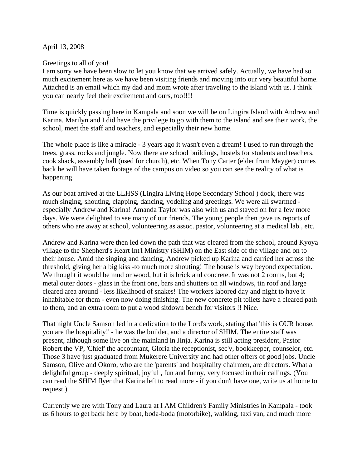April 13, 2008

## Greetings to all of you!

I am sorry we have been slow to let you know that we arrived safely. Actually, we have had so much excitement here as we have been visiting friends and moving into our very beautiful home. Attached is an email which my dad and mom wrote after traveling to the island with us. I think you can nearly feel their excitement and ours, too!!!!

Time is quickly passing here in Kampala and soon we will be on Lingira Island with Andrew and Karina. Marilyn and I did have the privilege to go with them to the island and see their work, the school, meet the staff and teachers, and especially their new home.

The whole place is like a miracle - 3 years ago it wasn't even a dream! I used to run through the trees, grass, rocks and jungle. Now there are school buildings, hostels for students and teachers, cook shack, assembly hall (used for church), etc. When Tony Carter (elder from Mayger) comes back he will have taken footage of the campus on video so you can see the reality of what is happening.

As our boat arrived at the LLHSS (Lingira Living Hope Secondary School ) dock, there was much singing, shouting, clapping, dancing, yodeling and greetings. We were all swarmed especially Andrew and Karina! Amanda Taylor was also with us and stayed on for a few more days. We were delighted to see many of our friends. The young people then gave us reports of others who are away at school, volunteering as assoc. pastor, volunteering at a medical lab., etc.

Andrew and Karina were then led down the path that was cleared from the school, around Kyoya village to the Shepherd's Heart Int'l Ministry (SHIM) on the East side of the village and on to their house. Amid the singing and dancing, Andrew picked up Karina and carried her across the threshold, giving her a big kiss -to much more shouting! The house is way beyond expectation. We thought it would be mud or wood, but it is brick and concrete. It was not 2 rooms, but 4; metal outer doors - glass in the front one, bars and shutters on all windows, tin roof and large cleared area around - less likelihood of snakes! The workers labored day and night to have it inhabitable for them - even now doing finishing. The new concrete pit toilets have a cleared path to them, and an extra room to put a wood sitdown bench for visitors !! Nice.

That night Uncle Samson led in a dedication to the Lord's work, stating that 'this is OUR house, you are the hospitality!' - he was the builder, and a director of SHIM. The entire staff was present, although some live on the mainland in Jinja. Karina is still acting president, Pastor Robert the VP, 'Chief' the accountant, Gloria the receptionist, sec'y, bookkeeper, counselor, etc. Those 3 have just graduated from Mukerere University and had other offers of good jobs. Uncle Samson, Olive and Okoro, who are the 'parents' and hospitality chairmen, are directors. What a delightful group - deeply spiritual, joyful , fun and funny, very focused in their callings. (You can read the SHIM flyer that Karina left to read more - if you don't have one, write us at home to request.)

Currently we are with Tony and Laura at I AM Children's Family Ministries in Kampala - took us 6 hours to get back here by boat, boda-boda (motorbike), walking, taxi van, and much more